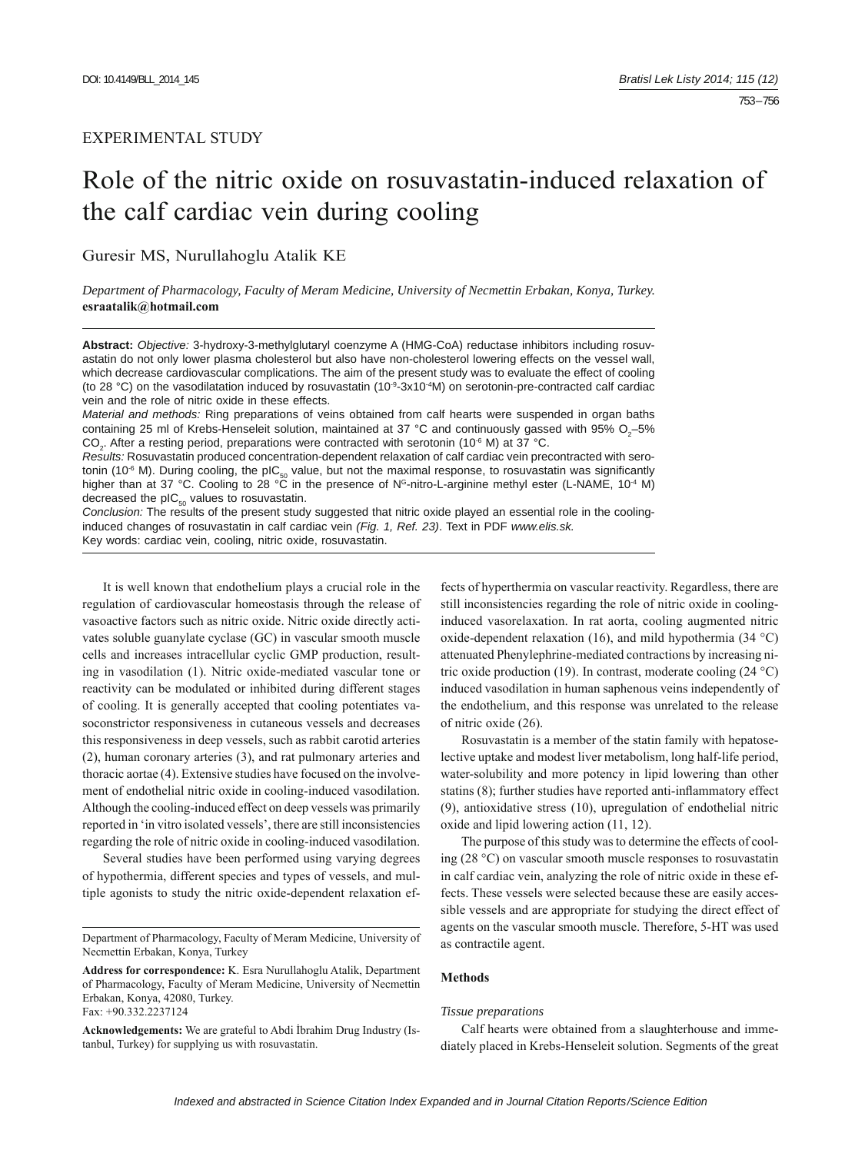# EXPERIMENTAL STUDY

# Role of the nitric oxide on rosuvastatin-induced relaxation of the calf cardiac vein during cooling

Guresir MS, Nurullahoglu Atalik KE

*Department of Pharmacology, Faculty of Meram Medicine, University of Necmettin Erbakan, Konya, Turkey.*  **esraatalik@hotmail.com**

**Abstract:** *Objective:* 3-hydroxy-3-methylglutaryl coenzyme A (HMG-CoA) reductase inhibitors including rosuvastatin do not only lower plasma cholesterol but also have non-cholesterol lowering effects on the vessel wall, which decrease cardiovascular complications. The aim of the present study was to evaluate the effect of cooling (to 28 °C) on the vasodilatation induced by rosuvastatin (10 $-9-3x10-4M$ ) on serotonin-pre-contracted calf cardiac vein and the role of nitric oxide in these effects.

*Material and methods:* Ring preparations of veins obtained from calf hearts were suspended in organ baths containing 25 ml of Krebs-Henseleit solution, maintained at 37 °C and continuously gassed with 95%  $O_2$ -5%  $CO<sub>2</sub>$ . After a resting period, preparations were contracted with serotonin (10<sup>-6</sup> M) at 37 °C.

*Results:* Rosuvastatin produced concentration-dependent relaxation of calf cardiac vein precontracted with serotonin (10<sup>-6</sup> M). During cooling, the pIC<sub>50</sub> value, but not the maximal response, to rosuvastatin was significantly<br>higher than at 37 °C. Cooling to 28 °C in the presence of N<sup>G</sup>-nitro-L-arginine methyl ester (L-NAME, 10<sup></sup> decreased the  $pIC_{50}$  values to rosuvastatin.

*Conclusion:* The results of the present study suggested that nitric oxide played an essential role in the coolinginduced changes of rosuvastatin in calf cardiac vein *(Fig. 1, Ref. 23)*. Text in PDF *www.elis.sk.* Key words: cardiac vein, cooling, nitric oxide, rosuvastatin.

It is well known that endothelium plays a crucial role in the regulation of cardiovascular homeostasis through the release of vasoactive factors such as nitric oxide. Nitric oxide directly activates soluble guanylate cyclase (GC) in vascular smooth muscle cells and increases intracellular cyclic GMP production, resulting in vasodilation (1). Nitric oxide-mediated vascular tone or reactivity can be modulated or inhibited during different stages of cooling. It is generally accepted that cooling potentiates vasoconstrictor responsiveness in cutaneous vessels and decreases this responsiveness in deep vessels, such as rabbit carotid arteries (2), human coronary arteries (3), and rat pulmonary arteries and thoracic aortae (4). Extensive studies have focused on the involvement of endothelial nitric oxide in cooling-induced vasodilation. Although the cooling-induced effect on deep vessels was primarily reported in 'in vitro isolated vessels', there are still inconsistencies regarding the role of nitric oxide in cooling-induced vasodilation.

Several studies have been performed using varying degrees of hypothermia, different species and types of vessels, and multiple agonists to study the nitric oxide-dependent relaxation ef-

fects of hyperthermia on vascular reactivity. Regardless, there are still inconsistencies regarding the role of nitric oxide in coolinginduced vasorelaxation. In rat aorta, cooling augmented nitric oxide-dependent relaxation (16), and mild hypothermia (34 °C) attenuated Phenylephrine-mediated contractions by increasing nitric oxide production (19). In contrast, moderate cooling (24  $^{\circ}$ C) induced vasodilation in human saphenous veins independently of the endothelium, and this response was unrelated to the release of nitric oxide (26).

Rosuvastatin is a member of the statin family with hepatoselective uptake and modest liver metabolism, long half-life period, water-solubility and more potency in lipid lowering than other statins (8); further studies have reported anti-inflammatory effect (9), antioxidative stress (10), upregulation of endothelial nitric oxide and lipid lowering action (11, 12).

The purpose of this study was to determine the effects of cooling (28 °C) on vascular smooth muscle responses to rosuvastatin in calf cardiac vein, analyzing the role of nitric oxide in these effects. These vessels were selected because these are easily accessible vessels and are appropriate for studying the direct effect of agents on the vascular smooth muscle. Therefore, 5-HT was used as contractile agent.

### **Methods**

# *Tissue preparations*

Calf hearts were obtained from a slaughterhouse and immediately placed in Krebs-Henseleit solution. Segments of the great

Department of Pharmacology, Faculty of Meram Medicine, University of Necmettin Erbakan, Konya, Turkey

**Address for correspondence:** K. Esra Nurullahoglu Atalik, Department of Pharmacology, Faculty of Meram Medicine, University of Necmettin Erbakan, Konya, 42080, Turkey. Fax: +90.332.2237124

**Acknowledgements:** We are grateful to Abdi İbrahim Drug Industry (Istanbul, Turkey) for supplying us with rosuvastatin.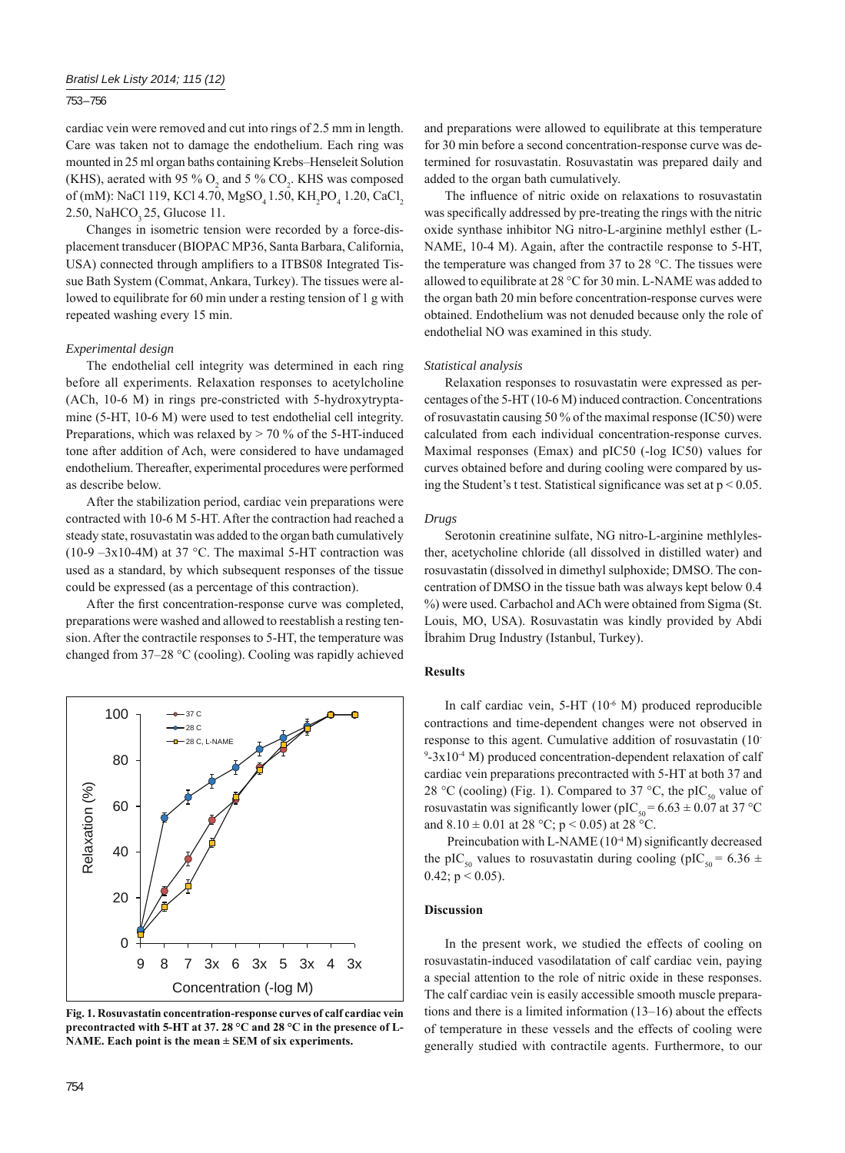753 – 756

cardiac vein were removed and cut into rings of 2.5 mm in length. Care was taken not to damage the endothelium. Each ring was mounted in 25 ml organ baths containing Krebs–Henseleit Solution (KHS), aerated with 95 %  $O_2$  and 5 %  $CO_2$ . KHS was composed of (mM): NaCl 119, KCl 4.70,  $MgSO_4$ 1.50, KH<sub>2</sub>PO<sub>4</sub> 1.20, CaCl<sub>2</sub> 2.50, NaHCO<sub>2</sub> 25, Glucose 11.

Changes in isometric tension were recorded by a force-displacement transducer (BIOPAC MP36, Santa Barbara, California, USA) connected through amplifiers to a ITBS08 Integrated Tissue Bath System (Commat, Ankara, Turkey). The tissues were allowed to equilibrate for 60 min under a resting tension of 1 g with repeated washing every 15 min.

## *Experimental design*

The endothelial cell integrity was determined in each ring before all experiments. Relaxation responses to acetylcholine (ACh, 10-6 M) in rings pre-constricted with 5-hydroxytryptamine (5-HT, 10-6 M) were used to test endothelial cell integrity. Preparations, which was relaxed by  $> 70$  % of the 5-HT-induced tone after addition of Ach, were considered to have undamaged endothelium. Thereafter, experimental procedures were performed as describe below.

After the stabilization period, cardiac vein preparations were contracted with 10-6 M 5-HT. After the contraction had reached a steady state, rosuvastatin was added to the organ bath cumulatively (10-9  $-3x10-4M$ ) at 37 °C. The maximal 5-HT contraction was used as a standard, by which subsequent responses of the tissue could be expressed (as a percentage of this contraction).

After the first concentration-response curve was completed, preparations were washed and allowed to reestablish a resting tension. After the contractile responses to 5-HT, the temperature was changed from 37–28 °C (cooling). Cooling was rapidly achieved



**Fig. 1. Rosuvastatin concentration-response curves of calf cardiac vein precontracted with 5-HT at 37. 28 °C and 28 °C in the presence of L-NAME. Each point is the mean ± SEM of six experiments.**

and preparations were allowed to equilibrate at this temperature for 30 min before a second concentration-response curve was determined for rosuvastatin. Rosuvastatin was prepared daily and added to the organ bath cumulatively.

The influence of nitric oxide on relaxations to rosuvastatin was specifically addressed by pre-treating the rings with the nitric oxide synthase inhibitor NG nitro-L-arginine methlyl esther (L-NAME, 10-4 M). Again, after the contractile response to 5-HT, the temperature was changed from 37 to 28  $^{\circ}$ C. The tissues were allowed to equilibrate at 28 °C for 30 min. L-NAME was added to the organ bath 20 min before concentration-response curves were obtained. Endothelium was not denuded because only the role of endothelial NO was examined in this study.

# *Statistical analysis*

Relaxation responses to rosuvastatin were expressed as percentages of the 5-HT (10-6 M) induced contraction. Concentrations of rosuvastatin causing 50 % of the maximal response (IC50) were calculated from each individual concentration-response curves. Maximal responses (Emax) and pIC50 (-log IC50) values for curves obtained before and during cooling were compared by using the Student's t test. Statistical significance was set at  $p < 0.05$ .

#### *Drugs*

Serotonin creatinine sulfate, NG nitro-L-arginine methlylesther, acetycholine chloride (all dissolved in distilled water) and rosuvastatin (dissolved in dimethyl sulphoxide; DMSO. The concentration of DMSO in the tissue bath was always kept below 0.4 %) were used. Carbachol and ACh were obtained from Sigma (St. Louis, MO, USA). Rosuvastatin was kindly provided by Abdi İbrahim Drug Industry (Istanbul, Turkey).

## **Results**

In calf cardiac vein,  $5-HT$  ( $10^{-6}$  M) produced reproducible contractions and time-dependent changes were not observed in response to this agent. Cumulative addition of rosuvastatin (10-  $9-3x10-4$  M) produced concentration-dependent relaxation of calf cardiac vein preparations precontracted with 5-HT at both 37 and 28 °C (cooling) (Fig. 1). Compared to 37 °C, the pIC<sub>50</sub> value of rosuvastatin was significantly lower (pIC<sub>50</sub> =  $6.63 \pm 0.07$  at 37 °C and  $8.10 \pm 0.01$  at  $28 °C$ ; p < 0.05) at  $28 °C$ .

Preincubation with L-NAME (10<sup>-4</sup> M) significantly decreased the pIC<sub>50</sub> values to rosuvastatin during cooling (pIC<sub>50</sub> = 6.36  $\pm$  $0.42$ ; p < 0.05).

# **Discussion**

In the present work, we studied the effects of cooling on rosuvastatin-induced vasodilatation of calf cardiac vein, paying a special attention to the role of nitric oxide in these responses. The calf cardiac vein is easily accessible smooth muscle preparations and there is a limited information (13–16) about the effects of temperature in these vessels and the effects of cooling were generally studied with contractile agents. Furthermore, to our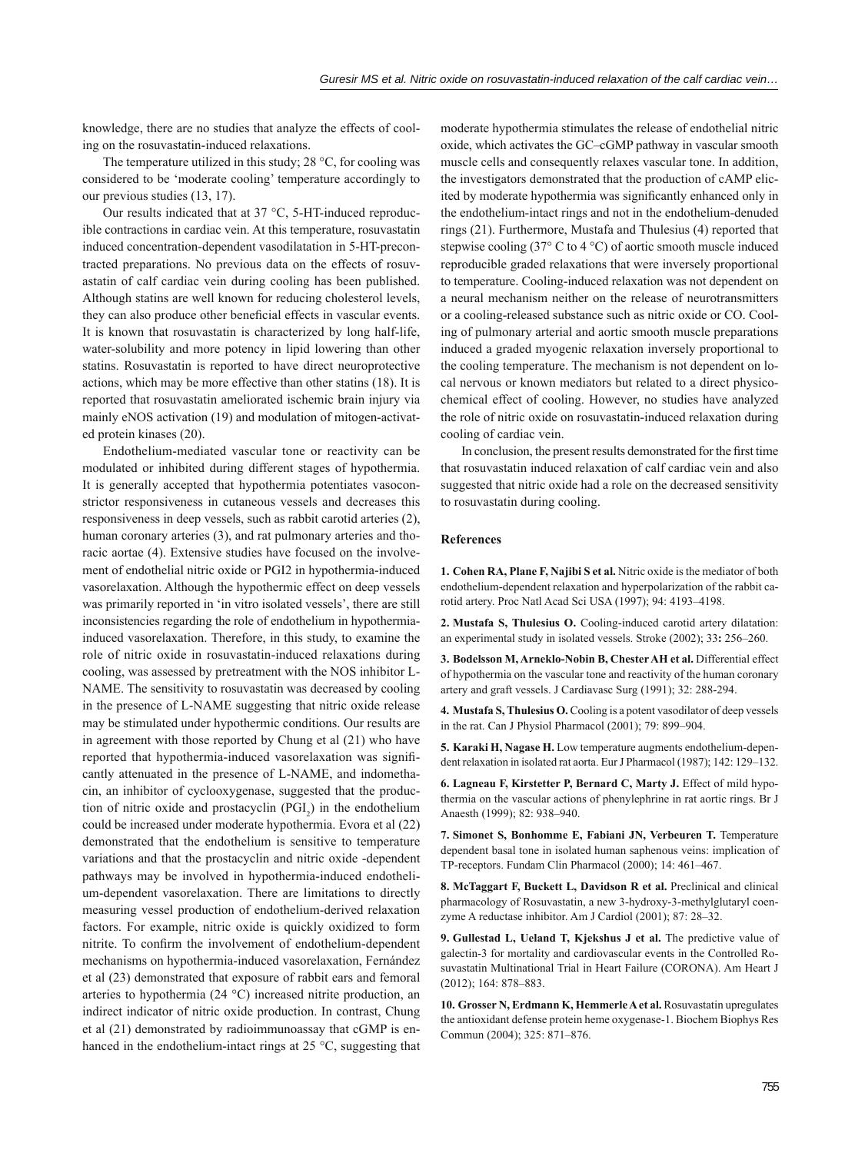knowledge, there are no studies that analyze the effects of cooling on the rosuvastatin-induced relaxations.

The temperature utilized in this study; 28 °C, for cooling was considered to be 'moderate cooling' temperature accordingly to our previous studies (13, 17).

Our results indicated that at 37 °C, 5-HT-induced reproducible contractions in cardiac vein. At this temperature, rosuvastatin induced concentration-dependent vasodilatation in 5-HT-precontracted preparations. No previous data on the effects of rosuvastatin of calf cardiac vein during cooling has been published. Although statins are well known for reducing cholesterol levels, they can also produce other beneficial effects in vascular events. It is known that rosuvastatin is characterized by long half-life, water-solubility and more potency in lipid lowering than other statins. Rosuvastatin is reported to have direct neuroprotective actions, which may be more effective than other statins (18). It is reported that rosuvastatin ameliorated ischemic brain injury via mainly eNOS activation (19) and modulation of mitogen-activated protein kinases (20).

Endothelium-mediated vascular tone or reactivity can be modulated or inhibited during different stages of hypothermia. It is generally accepted that hypothermia potentiates vasoconstrictor responsiveness in cutaneous vessels and decreases this responsiveness in deep vessels, such as rabbit carotid arteries (2), human coronary arteries (3), and rat pulmonary arteries and thoracic aortae (4). Extensive studies have focused on the involvement of endothelial nitric oxide or PGI2 in hypothermia-induced vasorelaxation. Although the hypothermic effect on deep vessels was primarily reported in 'in vitro isolated vessels', there are still inconsistencies regarding the role of endothelium in hypothermiainduced vasorelaxation. Therefore, in this study, to examine the role of nitric oxide in rosuvastatin-induced relaxations during cooling, was assessed by pretreatment with the NOS inhibitor L-NAME. The sensitivity to rosuvastatin was decreased by cooling in the presence of L-NAME suggesting that nitric oxide release may be stimulated under hypothermic conditions. Our results are in agreement with those reported by Chung et al (21) who have reported that hypothermia-induced vasorelaxation was significantly attenuated in the presence of L-NAME, and indomethacin, an inhibitor of cyclooxygenase, suggested that the production of nitric oxide and prostacyclin  $(PGI_2)$  in the endothelium could be increased under moderate hypothermia. Evora et al (22) demonstrated that the endothelium is sensitive to temperature variations and that the prostacyclin and nitric oxide -dependent pathways may be involved in hypothermia-induced endothelium-dependent vasorelaxation. There are limitations to directly measuring vessel production of endothelium-derived relaxation factors. For example, nitric oxide is quickly oxidized to form nitrite. To confirm the involvement of endothelium-dependent mechanisms on hypothermia-induced vasorelaxation, Fernández et al (23) demonstrated that exposure of rabbit ears and femoral arteries to hypothermia (24 °C) increased nitrite production, an indirect indicator of nitric oxide production. In contrast, Chung et al (21) demonstrated by radioimmunoassay that cGMP is enhanced in the endothelium-intact rings at 25 °C, suggesting that

moderate hypothermia stimulates the release of endothelial nitric oxide, which activates the GC–cGMP pathway in vascular smooth muscle cells and consequently relaxes vascular tone. In addition, the investigators demonstrated that the production of cAMP elicited by moderate hypothermia was significantly enhanced only in the endothelium-intact rings and not in the endothelium-denuded rings (21). Furthermore, Mustafa and Thulesius (4) reported that stepwise cooling (37° C to 4 °C) of aortic smooth muscle induced reproducible graded relaxations that were inversely proportional to temperature. Cooling-induced relaxation was not dependent on a neural mechanism neither on the release of neurotransmitters or a cooling-released substance such as nitric oxide or CO. Cooling of pulmonary arterial and aortic smooth muscle preparations induced a graded myogenic relaxation inversely proportional to the cooling temperature. The mechanism is not dependent on local nervous or known mediators but related to a direct physicochemical effect of cooling. However, no studies have analyzed the role of nitric oxide on rosuvastatin-induced relaxation during cooling of cardiac vein.

In conclusion, the present results demonstrated for the first time that rosuvastatin induced relaxation of calf cardiac vein and also suggested that nitric oxide had a role on the decreased sensitivity to rosuvastatin during cooling.

# **References**

**1. Cohen RA, Plane F, Najibi S et al.** Nitric oxide is the mediator of both endothelium-dependent relaxation and hyperpolarization of the rabbit carotid artery. Proc Natl Acad Sci USA (1997); 94: 4193–4198.

**2. Mustafa S, Thulesius O.** Cooling-induced carotid artery dilatation: an experimental study in isolated vessels. Stroke (2002); 33**:** 256–260.

**3. Bodelsson M, Arneklo-Nobin B, Chester AH et al.** Differential effect of hypothermia on the vascular tone and reactivity of the human coronary artery and graft vessels. J Cardiavasc Surg (1991); 32: 288-294.

**4. Mustafa S, Thulesius O.** Cooling is a potent vasodilator of deep vessels in the rat. Can J Physiol Pharmacol (2001); 79: 899–904.

**5. Karaki H, Nagase H.** Low temperature augments endothelium-dependent relaxation in isolated rat aorta. Eur J Pharmacol (1987); 142: 129–132.

**6. Lagneau F, Kirstetter P, Bernard C, Marty J.** Effect of mild hypothermia on the vascular actions of phenylephrine in rat aortic rings. Br J Anaesth (1999); 82: 938–940.

**7. Simonet S, Bonhomme E, Fabiani JN, Verbeuren T.** Temperature dependent basal tone in isolated human saphenous veins: implication of TP-receptors. Fundam Clin Pharmacol (2000); 14: 461–467.

**8. McTaggart F, Buckett L, Davidson R et al.** Preclinical and clinical pharmacology of Rosuvastatin, a new 3-hydroxy-3-methylglutaryl coenzyme A reductase inhibitor. Am J Cardiol (2001); 87: 28–32.

**9. Gullestad L, Ueland T, Kjekshus J et al.** The predictive value of galectin-3 for mortality and cardiovascular events in the Controlled Rosuvastatin Multinational Trial in Heart Failure (CORONA). Am Heart J (2012); 164: 878–883.

**10. Grosser N, Erdmann K, Hemmerle A et al.** Rosuvastatin upregulates the antioxidant defense protein heme oxygenase-1. Biochem Biophys Res Commun (2004); 325: 871–876.